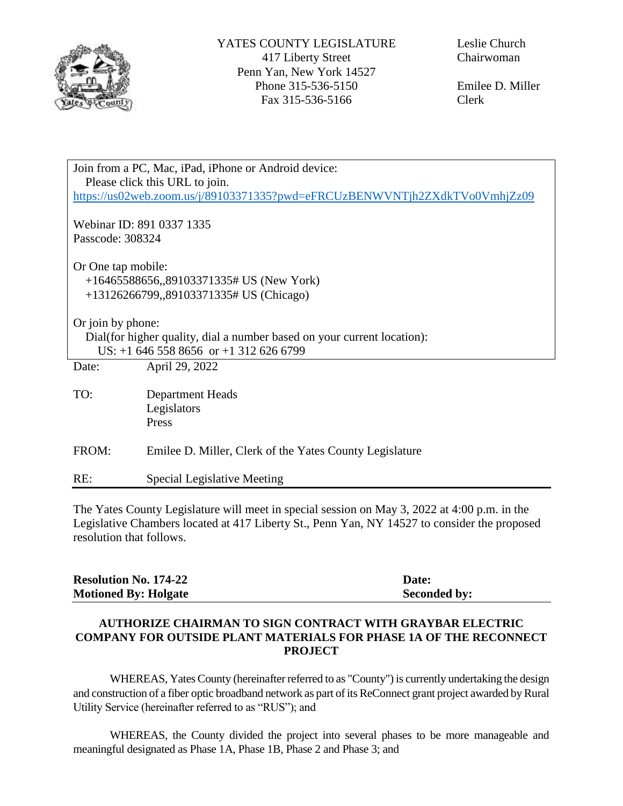

Emilee D. Miller Clerk

| Join from a PC, Mac, iPad, iPhone or Android device:                       |                                                         |  |  |
|----------------------------------------------------------------------------|---------------------------------------------------------|--|--|
| Please click this URL to join.                                             |                                                         |  |  |
| https://us02web.zoom.us/j/89103371335?pwd=eFRCUzBENWVNTjh2ZXdkTVo0VmhjZz09 |                                                         |  |  |
|                                                                            |                                                         |  |  |
| Webinar ID: 891 0337 1335                                                  |                                                         |  |  |
| Passcode: 308324                                                           |                                                         |  |  |
|                                                                            |                                                         |  |  |
| Or One tap mobile:                                                         |                                                         |  |  |
|                                                                            |                                                         |  |  |
| $+16465588656$ , 89103371335# US (New York)                                |                                                         |  |  |
| +13126266799,,89103371335# US (Chicago)                                    |                                                         |  |  |
|                                                                            |                                                         |  |  |
| Or join by phone:                                                          |                                                         |  |  |
| Dial (for higher quality, dial a number based on your current location):   |                                                         |  |  |
| US: $+1$ 646 558 8656 or $+1$ 312 626 6799                                 |                                                         |  |  |
| Date:                                                                      | April 29, 2022                                          |  |  |
|                                                                            |                                                         |  |  |
| TO:                                                                        | <b>Department Heads</b>                                 |  |  |
|                                                                            | Legislators                                             |  |  |
|                                                                            | Press                                                   |  |  |
|                                                                            |                                                         |  |  |
|                                                                            |                                                         |  |  |
| FROM:                                                                      | Emilee D. Miller, Clerk of the Yates County Legislature |  |  |
|                                                                            |                                                         |  |  |
| RE:                                                                        | Special Legislative Meeting                             |  |  |

The Yates County Legislature will meet in special session on May 3, 2022 at 4:00 p.m. in the Legislative Chambers located at 417 Liberty St., Penn Yan, NY 14527 to consider the proposed resolution that follows.

| <b>Resolution No. 174-22</b> | Date:               |
|------------------------------|---------------------|
| <b>Motioned By: Holgate</b>  | <b>Seconded by:</b> |

## **AUTHORIZE CHAIRMAN TO SIGN CONTRACT WITH GRAYBAR ELECTRIC COMPANY FOR OUTSIDE PLANT MATERIALS FOR PHASE 1A OF THE RECONNECT PROJECT**

WHEREAS, Yates County (hereinafter referred to as "County") is currently undertaking the design and construction of a fiber optic broadband network as part of its ReConnect grant project awarded by Rural Utility Service (hereinafter referred to as "RUS"); and

WHEREAS, the County divided the project into several phases to be more manageable and meaningful designated as Phase 1A, Phase 1B, Phase 2 and Phase 3; and